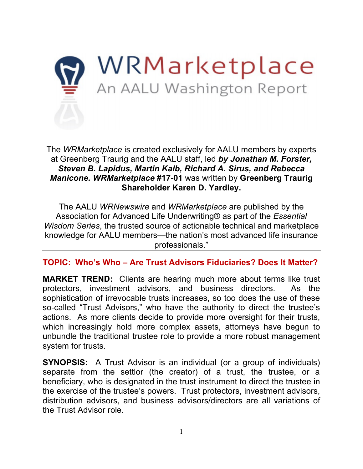

The *WRMarketplace* is created exclusively for AALU members by experts at Greenberg Traurig and the AALU staff, led *by Jonathan M. Forster, Steven B. Lapidus, Martin Kalb, Richard A. Sirus, and Rebecca Manicone. WRMarketplace* **#17-01** was written by **Greenberg Traurig Shareholder Karen D. Yardley.**

The AALU *WRNewswire* and *WRMarketplace* are published by the Association for Advanced Life Underwriting® as part of the *Essential Wisdom Series*, the trusted source of actionable technical and marketplace knowledge for AALU members—the nation's most advanced life insurance professionals."

**TOPIC: Who's Who – Are Trust Advisors Fiduciaries? Does It Matter?**

**MARKET TREND:** Clients are hearing much more about terms like trust protectors, investment advisors, and business directors. As the sophistication of irrevocable trusts increases, so too does the use of these so-called "Trust Advisors," who have the authority to direct the trustee's actions. As more clients decide to provide more oversight for their trusts, which increasingly hold more complex assets, attorneys have begun to unbundle the traditional trustee role to provide a more robust management system for trusts.

**SYNOPSIS:** A Trust Advisor is an individual (or a group of individuals) separate from the settlor (the creator) of a trust, the trustee, or a beneficiary, who is designated in the trust instrument to direct the trustee in the exercise of the trustee's powers. Trust protectors, investment advisors, distribution advisors, and business advisors/directors are all variations of the Trust Advisor role.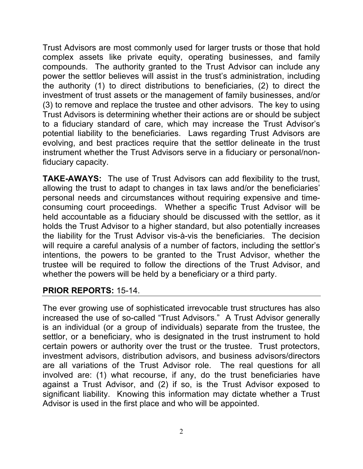Trust Advisors are most commonly used for larger trusts or those that hold complex assets like private equity, operating businesses, and family compounds. The authority granted to the Trust Advisor can include any power the settlor believes will assist in the trust's administration, including the authority (1) to direct distributions to beneficiaries, (2) to direct the investment of trust assets or the management of family businesses, and/or (3) to remove and replace the trustee and other advisors. The key to using Trust Advisors is determining whether their actions are or should be subject to a fiduciary standard of care, which may increase the Trust Advisor's potential liability to the beneficiaries. Laws regarding Trust Advisors are evolving, and best practices require that the settlor delineate in the trust instrument whether the Trust Advisors serve in a fiduciary or personal/nonfiduciary capacity.

**TAKE-AWAYS:** The use of Trust Advisors can add flexibility to the trust, allowing the trust to adapt to changes in tax laws and/or the beneficiaries' personal needs and circumstances without requiring expensive and timeconsuming court proceedings. Whether a specific Trust Advisor will be held accountable as a fiduciary should be discussed with the settlor, as it holds the Trust Advisor to a higher standard, but also potentially increases the liability for the Trust Advisor vis-à-vis the beneficiaries. The decision will require a careful analysis of a number of factors, including the settlor's intentions, the powers to be granted to the Trust Advisor, whether the trustee will be required to follow the directions of the Trust Advisor, and whether the powers will be held by a beneficiary or a third party.

### **PRIOR REPORTS:** 15-14.

The ever growing use of sophisticated irrevocable trust structures has also increased the use of so-called "Trust Advisors." A Trust Advisor generally is an individual (or a group of individuals) separate from the trustee, the settlor, or a beneficiary, who is designated in the trust instrument to hold certain powers or authority over the trust or the trustee. Trust protectors, investment advisors, distribution advisors, and business advisors/directors are all variations of the Trust Advisor role. The real questions for all involved are: (1) what recourse, if any, do the trust beneficiaries have against a Trust Advisor, and (2) if so, is the Trust Advisor exposed to significant liability. Knowing this information may dictate whether a Trust Advisor is used in the first place and who will be appointed.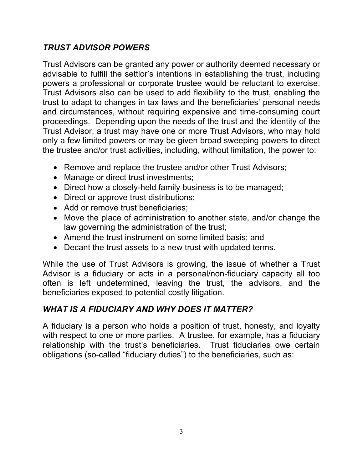## *TRUST ADVISOR POWERS*

Trust Advisors can be granted any power or authority deemed necessary or advisable to fulfill the settlor's intentions in establishing the trust, including powers a professional or corporate trustee would be reluctant to exercise. Trust Advisors also can be used to add flexibility to the trust, enabling the trust to adapt to changes in tax laws and the beneficiaries' personal needs and circumstances, without requiring expensive and time-consuming court proceedings. Depending upon the needs of the trust and the identity of the Trust Advisor, a trust may have one or more Trust Advisors, who may hold only a few limited powers or may be given broad sweeping powers to direct the trustee and/or trust activities, including, without limitation, the power to:

- Remove and replace the trustee and/or other Trust Advisors;
- Manage or direct trust investments;
- Direct how a closely-held family business is to be managed;
- Direct or approve trust distributions;
- Add or remove trust beneficiaries;
- Move the place of administration to another state, and/or change the law governing the administration of the trust;
- Amend the trust instrument on some limited basis; and
- Decant the trust assets to a new trust with updated terms.

While the use of Trust Advisors is growing, the issue of whether a Trust Advisor is a fiduciary or acts in a personal/non-fiduciary capacity all too often is left undetermined, leaving the trust, the advisors, and the beneficiaries exposed to potential costly litigation.

## *WHAT IS A FIDUCIARY AND WHY DOES IT MATTER?*

A fiduciary is a person who holds a position of trust, honesty, and loyalty with respect to one or more parties. A trustee, for example, has a fiduciary relationship with the trust's beneficiaries. Trust fiduciaries owe certain obligations (so-called "fiduciary duties") to the beneficiaries, such as: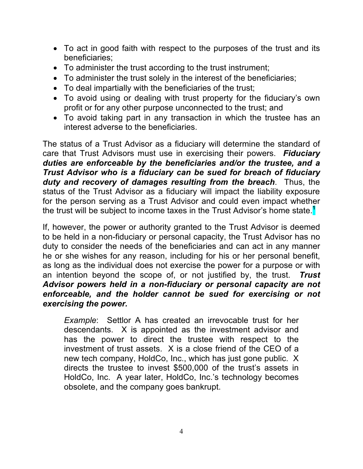- To act in good faith with respect to the purposes of the trust and its beneficiaries;
- To administer the trust according to the trust instrument;
- To administer the trust solely in the interest of the beneficiaries;
- To deal impartially with the beneficiaries of the trust;
- To avoid using or dealing with trust property for the fiduciary's own profit or for any other purpose unconnected to the trust; and
- To avoid taking part in any transaction in which the trustee has an interest adverse to the beneficiaries.

The status of a Trust Advisor as a fiduciary will determine the standard of care that Trust Advisors must use in exercising their powers. *Fiduciary duties are enforceable by the beneficiaries and/or the trustee, and a Trust Advisor who is a fiduciary can be sued for breach of fiduciary duty and recovery of damages resulting from the breach*. Thus, the status of the Trust Advisor as a fiduciary will impact the liability exposure for the person serving as a Trust Advisor and could even impact whether the trust will be subject to income taxes in the Trust Advisor's home state.**<sup>1</sup>**

If, however, the power or authority granted to the Trust Advisor is deemed to be held in a non-fiduciary or personal capacity, the Trust Advisor has no duty to consider the needs of the beneficiaries and can act in any manner he or she wishes for any reason, including for his or her personal benefit, as long as the individual does not exercise the power for a purpose or with an intention beyond the scope of, or not justified by, the trust. *Trust Advisor powers held in a non-fiduciary or personal capacity are not enforceable, and the holder cannot be sued for exercising or not exercising the power.* 

*Example*: Settlor A has created an irrevocable trust for her descendants. X is appointed as the investment advisor and has the power to direct the trustee with respect to the investment of trust assets. X is a close friend of the CEO of a new tech company, HoldCo, Inc., which has just gone public. X directs the trustee to invest \$500,000 of the trust's assets in HoldCo, Inc. A year later, HoldCo, Inc.'s technology becomes obsolete, and the company goes bankrupt.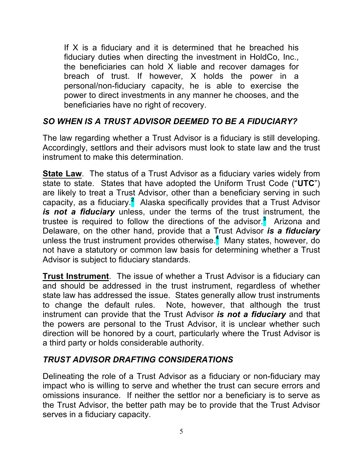If  $X$  is a fiduciary and it is determined that he breached his fiduciary duties when directing the investment in HoldCo, Inc., the beneficiaries can hold X liable and recover damages for breach of trust. If however, X holds the power in a personal/non-fiduciary capacity, he is able to exercise the power to direct investments in any manner he chooses, and the beneficiaries have no right of recovery.

## *SO WHEN IS A TRUST ADVISOR DEEMED TO BE A FIDUCIARY?*

The law regarding whether a Trust Advisor is a fiduciary is still developing. Accordingly, settlors and their advisors must look to state law and the trust instrument to make this determination.

**State Law.** The status of a Trust Advisor as a fiduciary varies widely from state to state. States that have adopted the Uniform Trust Code ("**UTC**") are likely to treat a Trust Advisor, other than a beneficiary serving in such capacity, as a fiduciary.<sup>2</sup> Alaska specifically provides that a Trust Advisor *is not a fiduciary* unless, under the terms of the trust instrument, the trustee is required to follow the directions of the advisor. **3** Arizona and Delaware, on the other hand, provide that a Trust Advisor *is a fiduciary* unless the trust instrument provides otherwise. **4** Many states, however, do not have a statutory or common law basis for determining whether a Trust Advisor is subject to fiduciary standards.

**Trust Instrument**. The issue of whether a Trust Advisor is a fiduciary can and should be addressed in the trust instrument, regardless of whether state law has addressed the issue. States generally allow trust instruments to change the default rules. Note, however, that although the trust instrument can provide that the Trust Advisor *is not a fiduciary* and that the powers are personal to the Trust Advisor, it is unclear whether such direction will be honored by a court, particularly where the Trust Advisor is a third party or holds considerable authority.

### *TRUST ADVISOR DRAFTING CONSIDERATIONS*

Delineating the role of a Trust Advisor as a fiduciary or non-fiduciary may impact who is willing to serve and whether the trust can secure errors and omissions insurance. If neither the settlor nor a beneficiary is to serve as the Trust Advisor, the better path may be to provide that the Trust Advisor serves in a fiduciary capacity.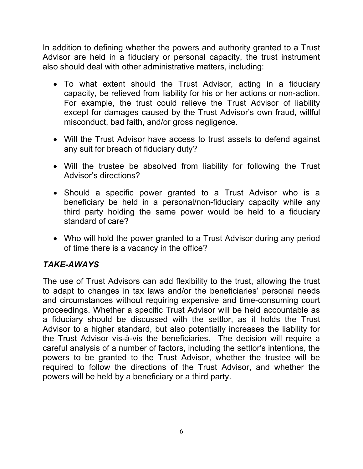In addition to defining whether the powers and authority granted to a Trust Advisor are held in a fiduciary or personal capacity, the trust instrument also should deal with other administrative matters, including:

- To what extent should the Trust Advisor, acting in a fiduciary capacity, be relieved from liability for his or her actions or non-action. For example, the trust could relieve the Trust Advisor of liability except for damages caused by the Trust Advisor's own fraud, willful misconduct, bad faith, and/or gross negligence.
- Will the Trust Advisor have access to trust assets to defend against any suit for breach of fiduciary duty?
- Will the trustee be absolved from liability for following the Trust Advisor's directions?
- Should a specific power granted to a Trust Advisor who is a beneficiary be held in a personal/non-fiduciary capacity while any third party holding the same power would be held to a fiduciary standard of care?
- Who will hold the power granted to a Trust Advisor during any period of time there is a vacancy in the office?

# *TAKE-AWAYS*

The use of Trust Advisors can add flexibility to the trust, allowing the trust to adapt to changes in tax laws and/or the beneficiaries' personal needs and circumstances without requiring expensive and time-consuming court proceedings. Whether a specific Trust Advisor will be held accountable as a fiduciary should be discussed with the settlor, as it holds the Trust Advisor to a higher standard, but also potentially increases the liability for the Trust Advisor vis-à-vis the beneficiaries. The decision will require a careful analysis of a number of factors, including the settlor's intentions, the powers to be granted to the Trust Advisor, whether the trustee will be required to follow the directions of the Trust Advisor, and whether the powers will be held by a beneficiary or a third party.